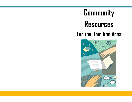# **Community Resources For the Hamilton Area**

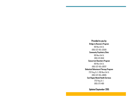**Provided to you by: Bridge to Recovery Program** 100 West 5th St. (905) 522-1155 x33500 **Community Psychiatry Clinic** 100 West 5th St. (905) 521-6040 **Concurrent Disorders Program** 100 West 5th St. (905) 522-1155 x39207 **Dialectical Behavioural Therapy Program** 2757 King St. E./100 West 5th St. (905) 522-1155 x38005 **East Region Mental Health Services** 2757 King St. E. (905) 573-4801

**Updated September 2015**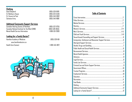# **Clothing**

| GIULIUIIY           |                    |
|---------------------|--------------------|
| Good Shepherd       | $(905)$ 528-9109   |
| St. Matthew's House | (905) 523-5546     |
| St. Vincent de Paul | (905) 549-3902     |
| Salvation Army      | $(905) 540 - 1888$ |
|                     |                    |
|                     |                    |

# **Additional Community Support Services** Canadian Hearing Society of Hamilton (905) 522-0755

Canadian National Institute for the Blind (CNIB) (905) 528-8555<br>Mental Health Service Information (1986-531-2600) Mental Health Service Information

# **Looking for a Family Doctor?**

Hamilton Academy of Medicine (905) 528-1611 www.hamiltondoctors.ca Health Care Connect 1-800-445-1822



# **Table of Contents**

1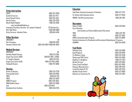#### **Crisis Intervention**

COAST (905) 972-8338 Suicide Crisis Line (905) 522-1477 Sexual Assault Centre (905) 525-4162 Barrett Centre (905) 529-7878 Mental Health Helpline 1-866-531-2600 www.mentalhealthhelpline.ca Emergency Psychiatry Services (St. Joseph's Hospital) 50 Charlton Ave. Kid's Help Phone 1-800-668-6868 Victim Services—Hamilton Police (905)546-4904

#### **Police Services**

#### **Medical Services**

Hamilton Health Sciences (905) 521-2100 Urgent Care Centre (HHS) (905)521-2100 x72000 St. Joseph's Hospital (905) 522-1155 Urgent Care Centre (SJH) (905) 522-1155 x34811 Telehealth Ontario 1-866-797-0000

#### **Housing**

Access to Housing (905) 524-2228 Housing Help Centre (905) 526-8100 YMCA (905)529-7102 YWCA (905) 522-9922 HOMES Program (905) 528-3655 CMHA Baldwin House (905) 521-0090 Indw (905) 529-0454 Residential Care Facilities (905) 546-2225

EMERGENCY **EXECUTES** Non-Emergency (905)546-4925 Domestic Violence Unit (905) 546-3852/(905)546-3853

EMERGENCY **EXERCISE AND SERVICE SERVICE SERVICE SERVICE SERVICE SERVICE SERVICE SERVICE SERVICE SERVICE SERVICE SERVICE SERVICE SERVICE SERVICE SERVICE SERVICE SERVICE SERVICE SERVICE SERVICE SERVICE SERVICE SERVICE SERVIC** 

#### **Education**

Adult Basic Education Association of Hamilton (905) 527-2222 St. Charles Adult Education Centre (905) 577-0555 HWDSB—Red Hill Learning Centre (905) 561-2190

#### **Recreation**

| Steps to Health                                                              | $(905)$ 528-3655 |
|------------------------------------------------------------------------------|------------------|
| City of Hamilton                                                             |                  |
| www.hamilton.ca/CultureandRecreation/Recreation                              |                  |
| YMCA                                                                         | (905) 529-7102   |
| YWCA                                                                         | (905) 522-9922   |
| CMHA Evening Recreation Program                                              | (905) 521-0090   |
| Hamilton Association for Residential and Recreational Redevelopment Programs |                  |
| (HARRRP)                                                                     | (905) 544-0050   |

# **Food Banks**

Salvation Army (905) 540-1888 Good Shepherd (905) 528-9109 St. Matthew's House (905) 523-5546 Roxborough PARC Centre (905) 545-0565 Neighbour to Neighbour (905) 574-1334 Mission Services (905) 528-9109 Stoney Creek Food Bank (905) 643-2090 Kingsway Blessing Centre (905) 296-9473 Living Rock (Ages 13-25) (905) 528-7625 Hamilton Dream Centre (905) 527-8605 Welcome Inn Community Ctr. (905) 525-5824

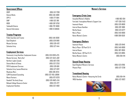#### **Government Offices**

#### ODSP (905) 521 -7280 **Ontario Works**  $RPP-<sub>0</sub>$ -D 1-800 OHIP 1-866 WSIB 1-800 Telehealth Ontario **General Information**

#### **Trustee Programs**

Public Guardian and Trustee **Good Shepherd** Mission Services Salvation Army

#### **Employment Services**

Community Living Hamilton: Employment Access Mission Services: Marty Karl Northern Lights Canada **Ontario March of Dimes PATH Employment Services** Salvation Army Lawson Ministries Woodview Worx SJHH Vocational Counseling Weave Partners Goodwill: The Amity Group Mohawk College Resource Center **Employment Hamilton** 

(905) 546-4800 -277 -9914 -532 -3161 -387 -0750 -797 -0000 1-800-0 CANADA

(905) 546-8300 (905) 528-9109 (905) 528-4212 (905) 527-1444

(905) 526-9339 x775 (905) 522-5542 x302 (905) 667-0761 (905) 522-2253 (905) 528-6611 (905) 527-6212 (905) 385-9244 (905) 522-1155 x36618 (905) 972-0220 (905) 526-8482 x245 (905) 575-2177 (905) 522-4902

#### **Women's Services**

#### **Emergency Crisis Lines**

| Assaulted Women's Helpline                 | 1-866-863-0511         |
|--------------------------------------------|------------------------|
| Fem'aide: Francophone Women's Support Line | 1-877-336-2433         |
| Inasmuch House                             | (905) 529-8600         |
| Interval House Hamilton                    | (905) 387-8881         |
| Martha House                               | (905) 523-6277         |
| Mary's Place                               | (905) 540-8000         |
| Native Women's Centre                      | $1 - 888 - 308 - 6559$ |
|                                            |                        |

### **Emergency Shelters**

| Inasmuch House               | $(905)$ 529-8149 |
|------------------------------|------------------|
| Mary's Place—30 Pearl St. N. | (905) 540-8000   |
| Interval House               | (905) 387-9959   |
| Martha House—30 Pearl St. N. | (905) 523-8895   |
| Native Women's Centre        | (905) 664-1114   |
|                              |                  |

# **Second Stage Housing**

Good Shepherd Women's Services Phoenix Place

#### **Transitional Housing**

Native Women's Centre —Honouring the Circle (905) 664 YWCA Hamilton

(905) 664-1114 (905) 522-9922

(905) 523-8766

(905) 527-2238

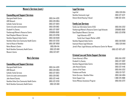# **Women's Services (cont.)**

### **Counselling and Support Services**

| Aboriginal Health Centre                    | (905) 544-4320    |
|---------------------------------------------|-------------------|
| AIDS Network                                | (905) 528-0854    |
| <b>Catholic Family Services</b>             | (905) 527-3823    |
| Centre de santé communautaire               | (905) 528-0163    |
| Elizabeth Fry Society                       | (905) 527-3097    |
| Flamborough Women's Resource Centre         | $(289)895 - 8580$ |
| Good Shepherd Women's Services              | (905) 523-8766    |
| Hamilton Regional Indian Centre             | (905) 548-9593    |
| Hamilton Urban Core Community Health Centre | (905) 522-3233    |
| Interval House of Hamilton                  | $(905)$ 387-9959  |
| Native Women's Centre                       | (905) 664-1114    |
| North Hamilton Community Health Centre      | (905) 523-6611    |
| Women's Centre                              | (905) 522-0127    |

### **Men's Services**

#### **Counselling and Support Services**

| Aboriginal Health Centre                    | (905) 544-4320     |
|---------------------------------------------|--------------------|
| AIDS Network                                | (905) 528-0854     |
| <b>Catholic Family Services</b>             | $(905) 527 - 3823$ |
| Centre de santé communautaire               | (905) 528-0163     |
| John Howard Society                         | $(905)$ 522-4446   |
| Hamilton Urban Core Community Health Centre | (905) 522-3233     |
| North Hamilton Community Health Centre      | (905) 523-6611     |

| 05) 544-4320  |
|---------------|
| 05) 528-0854  |
| 05) 527-3823  |
| 05) 528-0163  |
| 05) 522-4446  |
| 05) 522-3233  |
| 305) 523-6611 |

#### **Legal Services**

| Legal Aid                       | (905) 528-0134 |
|---------------------------------|----------------|
| Hamilton Community Legal        | (905) 527-4572 |
| Ontario Rental Housing Tribunal | 1-888-332-3234 |

#### **Family Law Services**

| Family Law Information Centre (FLIC)                        | (905) 645-5252      |
|-------------------------------------------------------------|---------------------|
| Flamborough Women's Resource Centre Legal Advocate          | (289)895-8580       |
| Good Shepherd Women's Services                              | (905) 523-8766      |
| Legal Advocate x4237                                        |                     |
| Family Court Support Worker x4333                           |                     |
| Hamilton Regional Indian Centre                             | $(905) 548 - 9593$  |
| Inasmuch House Legal Advocate                               | (905) 529-8149      |
| Jared's Place: Legal Advocacy and Resource Centre for Women |                     |
|                                                             | (905) 522-0127 x207 |

# **Criminal Law and Victim Support Services**

| Crown Attorney's Office           | (905) 645-5262   |
|-----------------------------------|------------------|
| <b>Elizabeth Fry Society</b>      | (905) 527-3097   |
| Hamilton Regional Indian Centre   | (905) 548-9593   |
| John Howard Society               | $(905)$ 522-4446 |
| <b>Justice of the Peace</b>       | (905) 645-5252   |
| Probation and Parole              | (905) 521-7527   |
| Victim Services-Hamilton Police   | (905) 546-4904   |
| Victim Support Line               | 1-888-579-2888   |
| Victim/Witness Assistance Program | (905) 645-5272   |
|                                   |                  |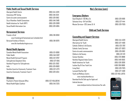# **Public Health and Sexual Health Services**

| Aboriginal Health Centre             |
|--------------------------------------|
| Anonymous HIV Testing                |
| Centre de santé communautaire        |
| City of Hamilton: Health Connections |
| Health Initiatives for Youth (HIFY)  |
| Sexual Health Information Line       |

### **Bereavement Services**

Friends in Grief (905) 318-0059 www.friendsingrief.homestead.com/schedule.html Bereaved Families of Ontario (905) 318-0070 www.bfo-hamiltonburlington.on.ca

### **Mental Health Agencies**

Canadian Mental Health Association Public Health Mental Health Outreach Program Schizophrenia Outpatient Clinic Hamilton Program for Schizophrenia IntAc (905) 528-0683 Hamilton Assertive Community Treatment Team Assertive Community Treatment Team II

#### **Advocacy**

Psychiatric Patient Advocate Office (905) 522-1155x36246 Mental Health Rights Coalition (905) 545-2525

(905) 546-3541 (905) 528-0163 City of Hamilton: Health Connections (905) 546-2489 (905) 528-3009 (905) 528-5894

Aboriginal Health Centre (905) 544-4320

| (905) 521-0090 |
|----------------|
| (905) 546-3597 |
| (905) 522-9767 |
| (905) 527-8515 |
| 905) 525-2832  |
| 905) 528-0683  |
| (905) 522-4273 |
| 905) 528-5354  |
|                |

### **Men's Services (cont.)**

#### **Emergency Shelters**

| $(905)$ 528-9109 |
|------------------|
| (905) 527-1444   |
| (905) 528-7635   |
|                  |

#### **Child and Youth Services**

#### **Counselling and Support Services**

| Aboriginal Health Centre               | (905) 544-4320        |
|----------------------------------------|-----------------------|
| Alternatives for Youth                 | (905) 527-4469        |
| Catholic Children's Aid Society        | (905) 525-2012        |
| <b>Catholic Family Services</b>        | (905) 527-3823        |
| Centre de santé communautaire          | (905) 528-0163        |
| <b>Children's Aid Society</b>          | (905) 522-1121        |
| <b>Contact Hamilton</b>                | (905) 570-8888        |
| Hamilton Regional Indian Centre        | (905) 548-9593        |
| <b>Health Initiatives for Youth</b>    | (905) 528-3009        |
| Lesbian Gay Bi Tans Youth Line         | 1-800-268-9688        |
| Living Rock                            | (905) 528-7625        |
| Lynwood Charlton Hall                  | (905) 527-4469        |
| <b>Youth and Wellness Centre</b>       | (905) 522-1155 x31725 |
| www.reachouthamilton.ca                |                       |
| Download the Be Safe app for Apple and |                       |
| Android devices                        |                       |



www.mindyourmind.ca/interactives/be-safe